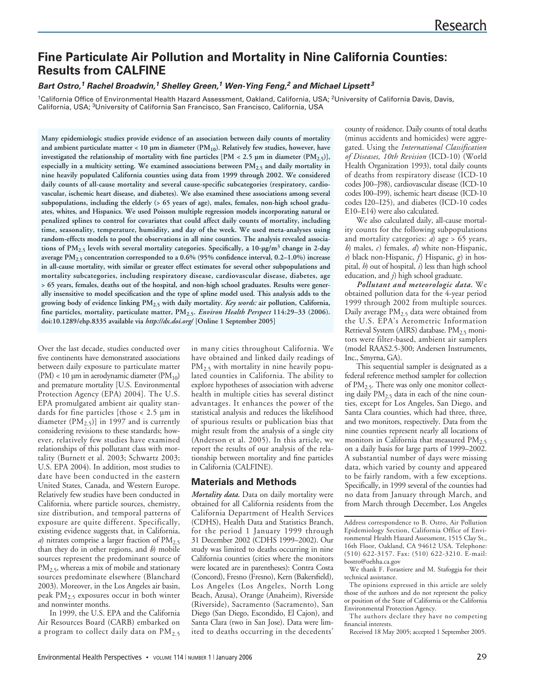# **Fine Particulate Air Pollution and Mortality in Nine California Counties: Results from CALFINE**

## **Bart Ostro,<sup>1</sup> Rachel Broadwin,<sup>1</sup> Shelley Green,<sup>1</sup> Wen-Ying Feng,<sup>2</sup> and Michael Lipsett<sup>3</sup>**

<sup>1</sup>California Office of Environmental Health Hazard Assessment, Oakland, California, USA; <sup>2</sup>University of California Davis, Davis, California, USA; 3University of California San Francisco, San Francisco, California, USA

**Many epidemiologic studies provide evidence of an association between daily counts of mortality** and ambient particulate matter < 10 µm in diameter (PM<sub>10</sub>). Relatively few studies, however, have investigated the relationship of mortality with fine particles  $[PM < 2.5 \mu m$  in diameter  $(PM_{2.5})]$ , **especially in a multicity setting. We examined associations between PM2.5 and daily mortality in nine heavily populated California counties using data from 1999 through 2002. We considered daily counts of all-cause mortality and several cause-specific subcategories (respiratory, cardiovascular, ischemic heart disease, and diabetes). We also examined these associations among several subpopulations, including the elderly (> 65 years of age), males, females, non-high school graduates, whites, and Hispanics. We used Poisson multiple regression models incorporating natural or penalized splines to control for covariates that could affect daily counts of mortality, including time, seasonality, temperature, humidity, and day of the week. We used meta-analyses using random-effects models to pool the observations in all nine counties. The analysis revealed associations of PM2.5 levels with several mortality categories. Specifically, a 10-µg/m<sup>3</sup> change in 2-day average PM2.5 concentration corresponded to a 0.6% (95% confidence interval, 0.2–1.0%) increase in all-cause mortality, with similar or greater effect estimates for several other subpopulations and mortality subcategories, including respiratory disease, cardiovascular disease, diabetes, age > 65 years, females, deaths out of the hospital, and non-high school graduates. Results were generally insensitive to model specification and the type of spline model used. This analysis adds to the growing body of evidence linking PM2.5 with daily mortality.** *Key words:* **air pollution, California, fine particles, mortality, particulate matter, PM2.5.** *Environ Health Perspect* **114:29–33 (2006). doi:10.1289/ehp.8335 available via** *http://dx.doi.org/* **[Online 1 September 2005]**

Over the last decade, studies conducted over five continents have demonstrated associations between daily exposure to particulate matter (PM) < 10 µm in aerodynamic diameter (PM<sub>10</sub>) and premature mortality [U.S. Environmental Protection Agency (EPA) 2004]. The U.S. EPA promulgated ambient air quality standards for fine particles [those < 2.5 µm in diameter  $(PM_{2,5})$ ] in 1997 and is currently considering revisions to these standards; however, relatively few studies have examined relationships of this pollutant class with mortality (Burnett et al. 2003; Schwartz 2003; U.S. EPA 2004). In addition, most studies to date have been conducted in the eastern United States, Canada, and Western Europe. Relatively few studies have been conducted in California, where particle sources, chemistry, size distribution, and temporal patterns of exposure are quite different. Specifically, existing evidence suggests that, in California, *a*) nitrates comprise a larger fraction of PM<sub>2.5</sub> than they do in other regions, and *b*) mobile sources represent the predominant source of PM<sub>2.5</sub>, whereas a mix of mobile and stationary sources predominate elsewhere (Blanchard 2003). Moreover, in the Los Angeles air basin, peak PM2.5 exposures occur in both winter and nonwinter months.

In 1999, the U.S. EPA and the California Air Resources Board (CARB) embarked on a program to collect daily data on  $PM_{2.5}$  in many cities throughout California. We have obtained and linked daily readings of  $PM_{2.5}$  with mortality in nine heavily populated counties in California. The ability to explore hypotheses of association with adverse health in multiple cities has several distinct advantages. It enhances the power of the statistical analysis and reduces the likelihood of spurious results or publication bias that might result from the analysis of a single city (Anderson et al. 2005). In this article, we report the results of our analysis of the relationship between mortality and fine particles in California (CALFINE).

## **Materials and Methods**

*Mortality data.* Data on daily mortality were obtained for all California residents from the California Department of Health Services (CDHS), Health Data and Statistics Branch, for the period 1 January 1999 through 31 December 2002 (CDHS 1999–2002). Our study was limited to deaths occurring in nine California counties (cities where the monitors were located are in parentheses): Contra Costa (Concord), Fresno (Fresno), Kern (Bakersfield), Los Angeles (Los Angeles, North Long Beach, Azusa), Orange (Anaheim), Riverside (Riverside), Sacramento (Sacramento), San Diego (San Diego, Escondido, El Cajon), and Santa Clara (two in San Jose). Data were limited to deaths occurring in the decedents'

county of residence. Daily counts of total deaths (minus accidents and homicides) were aggregated. Using the *International Classification of Diseases, 10th Revision* (ICD-10) (World Health Organization 1993), total daily counts of deaths from respiratory disease (ICD-10 codes J00–J98), cardiovascular disease (ICD-10 codes I00–I99), ischemic heart disease (ICD-10 codes I20–I25), and diabetes (ICD-10 codes E10–E14) were also calculated.

We also calculated daily, all-cause mortality counts for the following subpopulations and mortality categories: *a*) age > 65 years, *b*) males, *c*) females, *d*) white non-Hispanic, *e*) black non-Hispanic, *f*) Hispanic, *g*) in hospital, *h*) out of hospital, *i*) less than high school education, and *j*) high school graduate.

*Pollutant and meteorologic data.* We obtained pollution data for the 4-year period 1999 through 2002 from multiple sources. Daily average  $PM_{2.5}$  data were obtained from the U.S. EPA's Aerometric Information Retrieval System (AIRS) database. PM<sub>2.5</sub> monitors were filter-based, ambient air samplers (model RAAS2.5-300; Andersen Instruments, Inc., Smyrna, GA).

This sequential sampler is designated as a federal reference method sampler for collection of  $PM_{2.5}$ . There was only one monitor collecting daily  $PM_{2.5}$  data in each of the nine counties, except for Los Angeles, San Diego, and Santa Clara counties, which had three, three, and two monitors, respectively. Data from the nine counties represent nearly all locations of monitors in California that measured  $PM_{2.5}$ on a daily basis for large parts of 1999–2002. A substantial number of days were missing data, which varied by county and appeared to be fairly random, with a few exceptions. Specifically, in 1999 several of the counties had no data from January through March, and from March through December, Los Angeles

Address correspondence to B. Ostro, Air Pollution Epidemiology Section, California Office of Environmental Health Hazard Assessment, 1515 Clay St., 16th Floor, Oakland, CA 94612 USA. Telephone: (510) 622-3157. Fax: (510) 622-3210. E-mail: bostro@oehha.ca.gov

We thank F. Forastiere and M. Stafoggia for their technical assistance.

The opinions expressed in this article are solely those of the authors and do not represent the policy or position of the State of California or the California Environmental Protection Agency.

The authors declare they have no competing financial interests.

Received 18 May 2005; accepted 1 September 2005.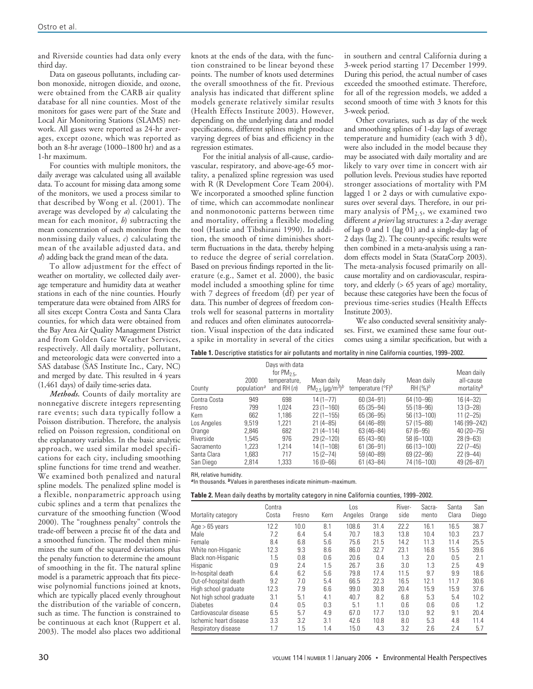and Riverside counties had data only every third day.

Data on gaseous pollutants, including carbon monoxide, nitrogen dioxide, and ozone, were obtained from the CARB air quality database for all nine counties. Most of the monitors for gases were part of the State and Local Air Monitoring Stations (SLAMS) network. All gases were reported as 24-hr averages, except ozone, which was reported as both an 8-hr average (1000–1800 hr) and as a 1-hr maximum.

For counties with multiple monitors, the daily average was calculated using all available data. To account for missing data among some of the monitors, we used a process similar to that described by Wong et al. (2001). The average was developed by *a*) calculating the mean for each monitor, *b*) subtracting the mean concentration of each monitor from the nonmissing daily values, *c*) calculating the mean of the available adjusted data, and *d*) adding back the grand mean of the data.

To allow adjustment for the effect of weather on mortality, we collected daily average temperature and humidity data at weather stations in each of the nine counties. Hourly temperature data were obtained from AIRS for all sites except Contra Costa and Santa Clara counties, for which data were obtained from the Bay Area Air Quality Management District and from Golden Gate Weather Services, respectively. All daily mortality, pollutant, and meteorologic data were converted into a SAS database (SAS Institute Inc., Cary, NC) and merged by date. This resulted in 4 years (1,461 days) of daily time-series data.

*Methods.* Counts of daily mortality are nonnegative discrete integers representing rare events; such data typically follow a Poisson distribution. Therefore, the analysis relied on Poisson regression, conditional on the explanatory variables. In the basic analytic approach, we used similar model specifications for each city, including smoothing spline functions for time trend and weather. We examined both penalized and natural spline models. The penalized spline model is a flexible, nonparametric approach using cubic splines and a term that penalizes the curvature of the smoothing function (Wood 2000). The "roughness penalty" controls the trade-off between a precise fit of the data and a smoothed function. The model then minimizes the sum of the squared deviations plus the penalty function to determine the amount of smoothing in the fit. The natural spline model is a parametric approach that fits piecewise polynomial functions joined at knots, which are typically placed evenly throughout the distribution of the variable of concern, such as time. The function is constrained to be continuous at each knot (Ruppert et al. 2003). The model also places two additional knots at the ends of the data, with the function constrained to be linear beyond these points. The number of knots used determines the overall smoothness of the fit. Previous analysis has indicated that different spline models generate relatively similar results (Health Effects Institute 2003). However, depending on the underlying data and model specifications, different splines might produce varying degrees of bias and efficiency in the regression estimates.

For the initial analysis of all-cause, cardiovascular, respiratory, and above-age-65 mortality, a penalized spline regression was used with R (R Development Core Team 2004). We incorporated a smoothed spline function of time, which can accommodate nonlinear and nonmonotonic patterns between time and mortality, offering a flexible modeling tool (Hastie and Tibshirani 1990). In addition, the smooth of time diminishes shortterm fluctuations in the data, thereby helping to reduce the degree of serial correlation. Based on previous findings reported in the literature (e.g., Samet et al. 2000), the basic model included a smoothing spline for time with 7 degrees of freedom (df) per year of data. This number of degrees of freedom controls well for seasonal patterns in mortality and reduces and often eliminates autocorrelation. Visual inspection of the data indicated a spike in mortality in several of the cities

in southern and central California during a 3-week period starting 17 December 1999. During this period, the actual number of cases exceeded the smoothed estimate. Therefore, for all of the regression models, we added a second smooth of time with 3 knots for this 3-week period.

Other covariates, such as day of the week and smoothing splines of 1-day lags of average temperature and humidity (each with 3 df), were also included in the model because they may be associated with daily mortality and are likely to vary over time in concert with air pollution levels. Previous studies have reported stronger associations of mortality with PM lagged 1 or 2 days or with cumulative exposures over several days. Therefore, in our primary analysis of  $PM_{2.5}$ , we examined two different *a priori* lag structures: a 2-day average of lags 0 and 1 (lag 01) and a single-day lag of 2 days (lag 2). The county-specific results were then combined in a meta-analysis using a random effects model in Stata (StataCorp 2003). The meta-analysis focused primarily on allcause mortality and on cardiovascular, respiratory, and elderly (> 65 years of age) mortality, because these categories have been the focus of previous time-series studies (Health Effects Institute 2003).

We also conducted several sensitivity analyses. First, we examined these same four outcomes using a similar specification, but with a

| Table 1. Descriptive statistics for air pollutants and mortality in nine California counties, 1999–2002. |
|----------------------------------------------------------------------------------------------------------|
|----------------------------------------------------------------------------------------------------------|

| County       | 2000<br>population <sup>a</sup> | Days with data<br>for $PM_{2.5}$ ,<br>temperature.<br>and RH $(n)$ | Mean daily<br>$PM_{2.5}$ (µg/m <sup>3)b</sup> | Mean daily<br>temperature $({}^{\circ}F)^b$ | Mean daily<br>$RH (%)^b$ | Mean daily<br>all-cause<br>mortality <sup>b</sup> |
|--------------|---------------------------------|--------------------------------------------------------------------|-----------------------------------------------|---------------------------------------------|--------------------------|---------------------------------------------------|
| Contra Costa | 949                             | 698                                                                | $14(1 - 77)$                                  | $60(34 - 91)$                               | 64 (10-96)               | $16(4-32)$                                        |
| Fresno       | 799                             | 1.024                                                              | $23(1 - 160)$                                 | 65 (35 - 94)                                | $55(18 - 96)$            | $13(3 - 28)$                                      |
| Kern         | 662                             | 1.186                                                              | $22(1 - 155)$                                 | 65 (36-95)                                  | 56 (13-100)              | $11(2 - 25)$                                      |
| Los Angeles  | 9.519                           | 1.221                                                              | $21(4 - 85)$                                  | 64 (46-89)                                  | $57(15 - 88)$            | 146 (99-242)                                      |
| Orange       | 2.846                           | 682                                                                | $21(4 - 114)$                                 | 63 (46-84)                                  | $67(6-95)$               | 40 (20 - 75)                                      |
| Riverside    | 1.545                           | 976                                                                | $29(2 - 120)$                                 | 65 (43-90)                                  | $58(6 - 100)$            | $28(9 - 63)$                                      |
| Sacramento   | 1.223                           | 1.214                                                              | $14(1 - 108)$                                 | $61(36 - 91)$                               | 66 (13-100)              | $22(7-45)$                                        |
| Santa Clara  | 1.683                           | 717                                                                | $15(2 - 74)$                                  | 59 (40-89)                                  | 69 (22 - 96)             | $22(9-44)$                                        |
| San Diego    | 2.814                           | 1.333                                                              | 16 (0-66)                                     | $61(43 - 84)$                               | 74 (16-100)              | 49 (26-87)                                        |

RH, relative humidity.

**<sup>a</sup>** In thousands. **<sup>b</sup>** Values in parentheses indicate minimum–maximum.

|  |  |  |  |  | <b>Table 2.</b> Mean daily deaths by mortality category in nine California counties, 1999–2002. |  |  |  |  |  |
|--|--|--|--|--|-------------------------------------------------------------------------------------------------|--|--|--|--|--|
|--|--|--|--|--|-------------------------------------------------------------------------------------------------|--|--|--|--|--|

| Mortality category       | Contra<br>Costa | Fresno | Kern | Los<br>Angeles | Orange | River-<br>side | Sacra-<br>mento | Santa<br>Clara | San<br>Diego |
|--------------------------|-----------------|--------|------|----------------|--------|----------------|-----------------|----------------|--------------|
| $Age > 65$ years         | 12.2            | 10.0   | 8.1  | 108.6          | 31.4   | 22.2           | 16.1            | 16.5           | 38.7         |
| Male                     | 7.2             | 6.4    | 5.4  | 70.7           | 18.3   | 13.8           | 10.4            | 10.3           | 23.7         |
| Female                   | 8.4             | 6.8    | 5.6  | 75.6           | 21.5   | 14.2           | 11.3            | 11.4           | 25.5         |
| White non-Hispanic       | 12.3            | 9.3    | 8.6  | 86.0           | 32.7   | 23.1           | 16.8            | 15.5           | 39.6         |
| Black non-Hispanic       | 1.5             | 0.8    | 0.6  | 20.6           | 0.4    | 1.3            | 2.0             | 0.5            | 2.1          |
| Hispanic                 | 0.9             | 2.4    | 1.5  | 26.7           | 3.6    | 3.0            | 1.3             | 2.5            | 4.9          |
| In-hospital death        | 6.4             | 6.2    | 5.6  | 79.8           | 17.4   | 11.5           | 9.7             | 9.9            | 18.6         |
| Out-of-hospital death    | 9.2             | 7.0    | 5.4  | 66.5           | 22.3   | 16.5           | 12.1            | 11.7           | 30.6         |
| High school graduate     | 12.3            | 7.9    | 6.6  | 99.0           | 30.8   | 20.4           | 15.9            | 15.9           | 37.6         |
| Not high school graduate | 3.1             | 5.1    | 4.1  | 40.7           | 8.2    | 6.8            | 5.3             | 5.4            | 10.2         |
| <b>Diabetes</b>          | 0.4             | 0.5    | 0.3  | 5.1            | 1.1    | 0.6            | 0.6             | 0.6            | 1.2          |
| Cardiovascular disease   | 6.5             | 5.7    | 4.9  | 67.0           | 17.7   | 13.0           | 9.2             | 9.1            | 20.4         |
| Ischemic heart disease   | 3.3             | 3.2    | 3.1  | 42.6           | 10.8   | 8.0            | 5.3             | 4.8            | 11.4         |
| Respiratory disease      | 1.7             | 1.5    | 1.4  | 15.0           | 4.3    | 3.2            | 2.6             | 2.4            | 5.7          |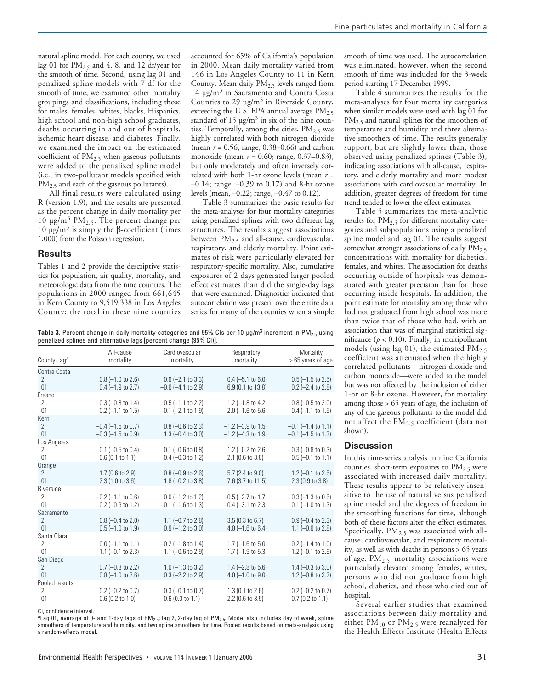natural spline model. For each county, we used lag 01 for  $PM_{2.5}$  and 4, 8, and 12 df/year for the smooth of time. Second, using lag 01 and penalized spline models with 7 df for the smooth of time, we examined other mortality groupings and classifications, including those for males, females, whites, blacks, Hispanics, high school and non-high school graduates, deaths occurring in and out of hospitals, ischemic heart disease, and diabetes. Finally, we examined the impact on the estimated coefficient of  $PM_{2.5}$  when gaseous pollutants were added to the penalized spline model (i.e., in two-pollutant models specified with PM<sub>2.5</sub> and each of the gaseous pollutants).

All final results were calculated using R (version 1.9), and the results are presented as the percent change in daily mortality per 10  $\mu$ g/m<sup>3</sup> PM<sub>2.5</sub>. The percent change per 10  $\mu$ g/m<sup>3</sup> is simply the β-coefficient (times 1,000) from the Poisson regression.

#### **Results**

Tables 1 and 2 provide the descriptive statistics for population, air quality, mortality, and meteorologic data from the nine counties. The populations in 2000 ranged from 661,645 in Kern County to 9,519,338 in Los Angeles County; the total in these nine counties

accounted for 65% of California's population in 2000. Mean daily mortality varied from 146 in Los Angeles County to 11 in Kern County. Mean daily  $PM<sub>2.5</sub>$  levels ranged from  $14 \mu g/m^3$  in Sacramento and Contra Costa Counties to 29 µg/m<sup>3</sup> in Riverside County, exceeding the U.S. EPA annual average  $PM<sub>2.5</sub>$ standard of 15  $\mu$ g/m<sup>3</sup> in six of the nine counties. Temporally, among the cities,  $PM_{2.5}$  was highly correlated with both nitrogen dioxide (mean *r* = 0.56; range, 0.38–0.66) and carbon monoxide (mean *r* = 0.60; range, 0.37–0.83), but only moderately and often inversely correlated with both 1-hr ozone levels (mean *r* = –0.14; range, –0.39 to 0.17) and 8-hr ozone levels (mean, –0.22; range, –0.47 to 0.12).

Table 3 summarizes the basic results for the meta-analyses for four mortality categories using penalized splines with two different lag structures. The results suggest associations between  $PM_{2.5}$  and all-cause, cardiovascular, respiratory, and elderly mortality. Point estimates of risk were particularly elevated for respiratory-specific mortality. Also, cumulative exposures of 2 days generated larger pooled effect estimates than did the single-day lags that were examined. Diagnostics indicated that autocorrelation was present over the entire data series for many of the counties when a simple smooth of time was used. The autocorrelation was eliminated, however, when the second smooth of time was included for the 3-week period starting 17 December 1999.

Table 4 summarizes the results for the meta-analyses for four mortality categories when similar models were used with lag 01 for  $PM<sub>2.5</sub>$  and natural splines for the smoothers of temperature and humidity and three alternative smoothers of time. The results generally support, but are slightly lower than, those observed using penalized splines (Table 3), indicating associations with all-cause, respiratory, and elderly mortality and more modest associations with cardiovascular mortality. In addition, greater degrees of freedom for time trend tended to lower the effect estimates.

Table 5 summarizes the meta-analytic results for  $PM_{2.5}$  for different mortality categories and subpopulations using a penalized spline model and lag 01. The results suggest somewhat stronger associations of daily  $PM_{2.5}$ concentrations with mortality for diabetics, females, and whites. The association for deaths occurring outside of hospitals was demonstrated with greater precision than for those occurring inside hospitals. In addition, the point estimate for mortality among those who had not graduated from high school was more than twice that of those who had, with an association that was of marginal statistical significance  $(p < 0.10)$ . Finally, in multipollutant models (using lag 01), the estimated  $PM_{2.5}$ coefficient was attenuated when the highly correlated pollutants—nitrogen dioxide and carbon monoxide—were added to the model but was not affected by the inclusion of either 1-hr or 8-hr ozone. However, for mortality among those > 65 years of age, the inclusion of any of the gaseous pollutants to the model did not affect the  $PM_{2.5}$  coefficient (data not shown).

### **Discussion**

In this time-series analysis in nine California counties, short-term exposures to  $PM<sub>2.5</sub>$  were associated with increased daily mortality. These results appear to be relatively insensitive to the use of natural versus penalized spline model and the degrees of freedom in the smoothing functions for time, although both of these factors alter the effect estimates. Specifically,  $PM_{2.5}$  was associated with allcause, cardiovascular, and respiratory mortality, as well as with deaths in persons > 65 years of age.  $PM_{2.5}$ -mortality associations were particularly elevated among females, whites, persons who did not graduate from high school, diabetics, and those who died out of hospital.

Several earlier studies that examined associations between daily mortality and either  $PM_{10}$  or  $PM_{2.5}$  were reanalyzed for the Health Effects Institute (Health Effects

**Table 3.** Percent change in daily mortality categories and 95% CIs per 10-µg/m<sup>3</sup> increment in PM<sub>2.5</sub> using penalized splines and alternative lags [percent change (95% CI)].

| County, lag <sup>a</sup>            | All-cause<br>mortality                                | Cardiovascular<br>mortality                         | Respiratory<br>mortality                            | Mortality<br>>65 years of age                     |
|-------------------------------------|-------------------------------------------------------|-----------------------------------------------------|-----------------------------------------------------|---------------------------------------------------|
| Contra Costa                        |                                                       |                                                     |                                                     |                                                   |
| $\overline{2}$<br>01                | $0.8$ (-1.0 to 2.6)<br>$0.4 (-1.9 to 2.7)$            | $0.6$ (-2.1 to 3.3)<br>$-0.6$ ( $-4.1$ to 2.9)      | $0.4 (-5.1 to 6.0)$<br>6.9 (0.1 to 13.8)            | $0.5$ (-1.5 to 2.5)<br>$0.2$ (-2.4 to 2.8)        |
| Fresno                              |                                                       |                                                     |                                                     |                                                   |
| $\overline{2}$<br>01                | $0.3$ (-0.8 to 1.4)<br>$0.2$ (-1.1 to 1.5)            | $0.5$ (-1.1 to 2.2)<br>$-0.1$ $(-2.1$ to $1.9$ )    | $1.2$ (-1.8 to 4.2)<br>$2.0$ (-1.6 to 5.6)          | $0.8 (-0.5 to 2.0)$<br>$0.4 (-1.1$ to $1.9)$      |
| Kern                                |                                                       |                                                     |                                                     |                                                   |
| $\overline{2}$<br>01                | $-0.4$ ( $-1.5$ to 0.7)<br>$-0.3$ ( $-1.5$ to 0.9)    | $0.8$ (-0.6 to 2.3)<br>$1.3$ (-0.4 to 3.0)          | $-1.2$ ( $-3.9$ to 1.5)<br>$-1.2$ ( $-4.3$ to 1.9)  | $-0.1$ $(-1.4$ to 1.1)<br>$-0.1$ ( $-1.5$ to 1.3) |
| Los Angeles<br>2<br>01              | $-0.1$ ( $-0.5$ to 0.4)<br>$0.6(0.1 \text{ to } 1.1)$ | $0.1$ (-0.6 to 0.8)<br>$0.4 (-0.3 \text{ to } 1.2)$ | $1.2$ (-0.2 to 2.6)<br>$2.1(0.6 \text{ to } 3.6)$   | $-0.3$ ( $-0.8$ to 0.3)<br>$0.5$ (-0.1 to 1.1)    |
| Orange                              |                                                       |                                                     |                                                     |                                                   |
| 2<br>01                             | $1.7(0.6 \text{ to } 2.9)$<br>2.3 (1.0 to 3.6)        | $0.8 (-0.9 to 2.6)$<br>$1.8 (-0.2 to 3.8)$          | $5.7(2.4 \text{ to } 9.0)$<br>7.6 (3.7 to 11.5)     | $1.2$ (-0.1 to 2.5)<br>2.3 (0.9 to 3.8)           |
| Riverside                           |                                                       |                                                     |                                                     |                                                   |
| 2<br>01                             | $-0.2$ ( $-1.1$ to 0.6)<br>$0.2$ (-0.9 to 1.2)        | $0.0$ (-1.2 to 1.2)<br>$-0.1$ ( $-1.6$ to 1.3)      | $-0.5$ ( $-2.7$ to 1.7)<br>$-0.4$ ( $-3.1$ to 2.3)  | $-0.3$ ( $-1.3$ to 0.6)<br>$0.1$ (-1.0 to 1.3)    |
| Sacramento                          |                                                       |                                                     |                                                     |                                                   |
| $\overline{2}$<br>01                | $0.8 (-0.4 to 2.0)$<br>$0.5$ (-1.0 to 1.9)            | $1.1$ (-0.7 to 2.8)<br>$0.9$ (-1.2 to 3.0)          | $3.5(0.3 \text{ to } 6.7)$<br>$4.0$ (-1.6 to 6.4)   | $0.9$ (-0.4 to 2.3)<br>$1.1$ (-0.6 to 2.8)        |
| Santa Clara<br>$\overline{2}$<br>01 | $0.0$ (-1.1 to 1.1)<br>$1.1$ (-0.1 to 2.3)            | $-0.2$ ( $-1.8$ to 1.4)<br>$1.1$ (-0.6 to 2.9)      | $1.7$ (-1.6 to 5.0)<br>$1.7$ (-1.9 to 5.3)          | $-0.2$ ( $-1.4$ to $1.0$ )<br>$1.2$ (-0.1 to 2.6) |
| San Diego                           |                                                       |                                                     |                                                     |                                                   |
| $\overline{2}$<br>01                | $0.7$ (-0.8 to 2.2)<br>$0.8$ (-1.0 to 2.6)            | $1.0$ (-1.3 to 3.2)<br>$0.3$ (-2.2 to 2.9)          | $1.4 (-2.8 \text{ to } 5.6)$<br>$4.0$ (-1.0 to 9.0) | $1.4 (-0.3 to 3.0)$<br>$1.2$ (-0.8 to 3.2)        |
| Pooled results                      |                                                       |                                                     |                                                     |                                                   |
| 2<br>01                             | $0.2$ (-0.2 to 0.7)<br>$0.6$ (0.2 to 1.0)             | $0.3$ (-0.1 to 0.7)<br>$0.6$ (0.0 to 1.1)           | $1.3(0.1 \text{ to } 2.6)$<br>2.2 (0.6 to 3.9)      | $0.2$ (-0.2 to 0.7)<br>$0.7$ (0.2 to 1.1)         |

CI, confidence interval.

**<sup>a</sup>** Lag 01, average of 0- and 1-day lags of PM2.5; lag 2, 2-day lag of PM2.5. Model also includes day of week, spline smoothers of temperature and humidity, and two spline smoothers for time. Pooled results based on meta-analysis using a random-effects model.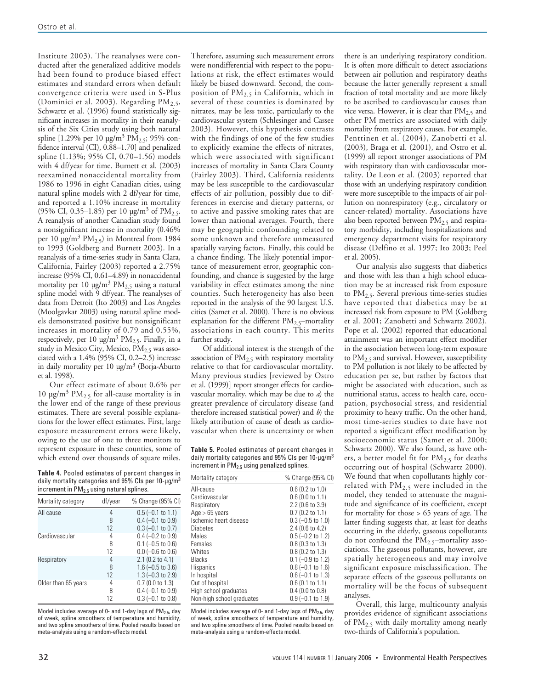Institute 2003). The reanalyses were conducted after the generalized additive models had been found to produce biased effect estimates and standard errors when default convergence criteria were used in S-Plus (Dominici et al. 2003). Regarding  $PM_{2.5}$ , Schwartz et al. (1996) found statistically significant increases in mortality in their reanalysis of the Six Cities study using both natural spline [1.29% per 10  $\mu$ g/m<sup>3</sup> PM<sub>2.5</sub>; 95% confidence interval (CI), 0.88–1.70] and penalized spline (1.13%; 95% CI, 0.70–1.56) models with 4 df/year for time. Burnett et al. (2003) reexamined nonaccidental mortality from 1986 to 1996 in eight Canadian cities, using natural spline models with 2 df/year for time, and reported a 1.10% increase in mortality (95% CI, 0.35–1.85) per 10  $\mu$ g/m<sup>3</sup> of PM<sub>2.5</sub>. A reanalysis of another Canadian study found a nonsignificant increase in mortality (0.46% per 10  $\mu$ g/m<sup>3</sup> PM<sub>2.5</sub>) in Montreal from 1984 to 1993 (Goldberg and Burnett 2003). In a reanalysis of a time-series study in Santa Clara, California, Fairley (2003) reported a 2.75% increase (95% CI, 0.61–4.89) in nonaccidental mortality per 10  $\mu$ g/m<sup>3</sup> PM<sub>2.5</sub> using a natural spline model with 9 df/year. The reanalyses of data from Detroit (Ito 2003) and Los Angeles (Moolgavkar 2003) using natural spline models demonstrated positive but nonsignificant increases in mortality of 0.79 and 0.55%, respectively, per 10  $\mu$ g/m<sup>3</sup> PM<sub>2.5</sub>. Finally, in a study in Mexico City, Mexico,  $PM_{2.5}$  was associated with a 1.4% (95% CI, 0.2–2.5) increase in daily mortality per 10  $\mu$ g/m<sup>3</sup> (Borja-Aburto et al. 1998).

Our effect estimate of about 0.6% per 10  $\mu$ g/m<sup>3</sup> PM<sub>2.5</sub> for all-cause mortality is in the lower end of the range of these previous estimates. There are several possible explanations for the lower effect estimates. First, large exposure measurement errors were likely, owing to the use of one to three monitors to represent exposure in these counties, some of which extend over thousands of square miles.

**Table 4.** Pooled estimates of percent changes in daily mortality categories and  $95\%$  CIs per 10- $\mu$ g/m<sup>3</sup> increment in PM<sub>2.5</sub> using natural splines.

| Mortality category  | df/year | % Change (95% CI)            |
|---------------------|---------|------------------------------|
| All cause           | 4       | $0.5$ (-0.1 to 1.1)          |
|                     | 8       | $0.4$ (-0.1 to 0.9)          |
|                     | 12      | $0.3$ (-0.1 to 0.7)          |
| Cardiovascular      | 4       | $0.4 (-0.2 \text{ to } 0.9)$ |
|                     | 8       | $0.1$ (-0.5 to 0.6)          |
|                     | 12      | $0.0$ (-0.6 to 0.6)          |
| Respiratory         | 4       | 2.1 (0.2 to 4.1)             |
|                     | 8       | $1.6 (-0.5 to 3.6)$          |
|                     | 12      | $1.3$ (-0.3 to 2.9)          |
| Older than 65 years | 4       | $0.7$ (0.0 to 1.3)           |
|                     | 8       | $0.4 (-0.1 to 0.9)$          |
|                     | 12      | $0.3$ (-0.1 to 0.8)          |

Model includes average of 0- and 1-day lags of  $PM<sub>2.5</sub>$ , day of week, spline smoothers of temperature and humidity, and two spline smoothers of time. Pooled results based on meta-analysis using a random-effects model.

Therefore, assuming such measurement errors were nondifferential with respect to the populations at risk, the effect estimates would likely be biased downward. Second, the composition of  $PM_{2.5}$  in California, which in several of these counties is dominated by nitrates, may be less toxic, particularly to the cardiovascular system (Schlesinger and Cassee 2003). However, this hypothesis contrasts with the findings of one of the few studies to explicitly examine the effects of nitrates, which were associated with significant increases of mortality in Santa Clara County (Fairley 2003). Third, California residents may be less susceptible to the cardiovascular effects of air pollution, possibly due to differences in exercise and dietary patterns, or to active and passive smoking rates that are lower than national averages. Fourth, there may be geographic confounding related to some unknown and therefore unmeasured spatially varying factors. Finally, this could be a chance finding. The likely potential importance of measurement error, geographic confounding, and chance is suggested by the large variability in effect estimates among the nine counties. Such heterogeneity has also been reported in the analysis of the 90 largest U.S. cities (Samet et al. 2000). There is no obvious explanation for the different  $PM_{2.5}$ -mortality associations in each county. This merits further study.

Of additional interest is the strength of the association of  $PM<sub>2.5</sub>$  with respiratory mortality relative to that for cardiovascular mortality. Many previous studies [reviewed by Ostro et al. (1999)] report stronger effects for cardiovascular mortality, which may be due to *a*) the greater prevalence of circulatory disease (and therefore increased statistical power) and *b*) the likely attribution of cause of death as cardiovascular when there is uncertainty or when

**Table 5.** Pooled estimates of percent changes in daily mortality categories and 95% CIs per 10-ug/m<sup>3</sup> increment in  $PM<sub>25</sub>$  using penalized splines.

| $\cdots$                  |                            |
|---------------------------|----------------------------|
| Mortality category        | % Change (95% CI)          |
| All-cause                 | $0.6$ (0.2 to 1.0)         |
| Cardiovascular            | 0.6(0.0 to 1.1)            |
| Respiratory               | 2.2 (0.6 to 3.9)           |
| $Age > 65$ years          | $0.7$ (0.2 to 1.1)         |
| Ischemic heart disease    | $0.3$ (-0.5 to 1.0)        |
| <b>Diabetes</b>           | 2.4 (0.6 to 4.2)           |
| Males                     | $0.5$ (-0.2 to 1.2)        |
| Females                   | $0.8$ (0.3 to 1.3)         |
| Whites                    | $0.8$ (0.2 to 1.3)         |
| <b>Blacks</b>             | $0.1$ (-0.9 to 1.2)        |
| <b>Hispanics</b>          | $0.8$ (-0.1 to 1.6)        |
| In hospital               | $0.6$ (-0.1 to 1.3)        |
| Out of hospital           | $0.6(0.1 \text{ to } 1.1)$ |
| High school graduates     | $0.4$ (0.0 to 0.8)         |
| Non-high school graduates | $0.9 (-0.1$ to 1.9)        |

Model includes average of 0- and 1-day lags of  $PM<sub>2.5</sub>$ , day of week, spline smoothers of temperature and humidity, and two spline smoothers of time. Pooled results based on meta-analysis using a random-effects model.

there is an underlying respiratory condition. It is often more difficult to detect associations between air pollution and respiratory deaths because the latter generally represent a small fraction of total mortality and are more likely to be ascribed to cardiovascular causes than vice versa. However, it is clear that  $PM_{2.5}$  and other PM metrics are associated with daily mortality from respiratory causes. For example, Penttinen et al. (2004), Zanobetti et al. (2003), Braga et al. (2001), and Ostro et al. (1999) all report stronger associations of PM with respiratory than with cardiovascular mortality. De Leon et al. (2003) reported that those with an underlying respiratory condition were more susceptible to the impacts of air pollution on nonrespiratory (e.g., circulatory or cancer-related) mortality. Associations have also been reported between  $PM_{2.5}$  and respiratory morbidity, including hospitalizations and emergency department visits for respiratory disease (Delfino et al. 1997; Ito 2003; Peel et al. 2005).

Our analysis also suggests that diabetics and those with less than a high school education may be at increased risk from exposure to PM2.5. Several previous time-series studies have reported that diabetics may be at increased risk from exposure to PM (Goldberg et al. 2001; Zanobetti and Schwartz 2002). Pope et al. (2002) reported that educational attainment was an important effect modifier in the association between long-term exposure to  $PM_{2.5}$  and survival. However, susceptibility to PM pollution is not likely to be affected by education per se, but rather by factors that might be associated with education, such as nutritional status, access to health care, occupation, psychosocial stress, and residential proximity to heavy traffic. On the other hand, most time-series studies to date have not reported a significant effect modification by socioeconomic status (Samet et al. 2000; Schwartz 2000). We also found, as have others, a better model fit for  $PM_{2.5}$  for deaths occurring out of hospital (Schwartz 2000). We found that when copollutants highly correlated with  $PM_{2.5}$  were included in the model, they tended to attenuate the magnitude and significance of its coefficient, except for mortality for those > 65 years of age. The latter finding suggests that, at least for deaths occurring in the elderly, gaseous copollutants do not confound the  $\overline{PM}_{2.5}$ -mortality associations. The gaseous pollutants, however, are spatially heterogeneous and may involve significant exposure misclassification. The separate effects of the gaseous pollutants on mortality will be the focus of subsequent analyses.

Overall, this large, multicounty analysis provides evidence of significant associations of  $PM_{2.5}$  with daily mortality among nearly two-thirds of California's population.